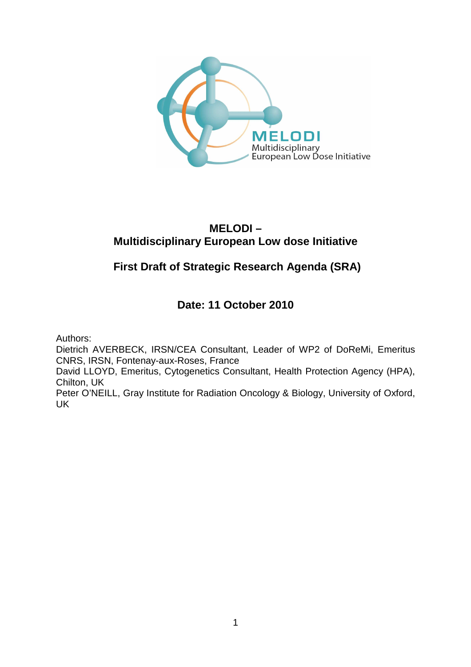

# **MELODI – Multidisciplinary European Low dose Initiative**

# **First Draft of Strategic Research Agenda (SRA)**

# **Date: 11 October 2010**

Authors:

Dietrich AVERBECK, IRSN/CEA Consultant, Leader of WP2 of DoReMi, Emeritus CNRS, IRSN, Fontenay-aux-Roses, France

David LLOYD, Emeritus, Cytogenetics Consultant, Health Protection Agency (HPA), Chilton, UK

Peter O'NEILL, Gray Institute for Radiation Oncology & Biology, University of Oxford, UK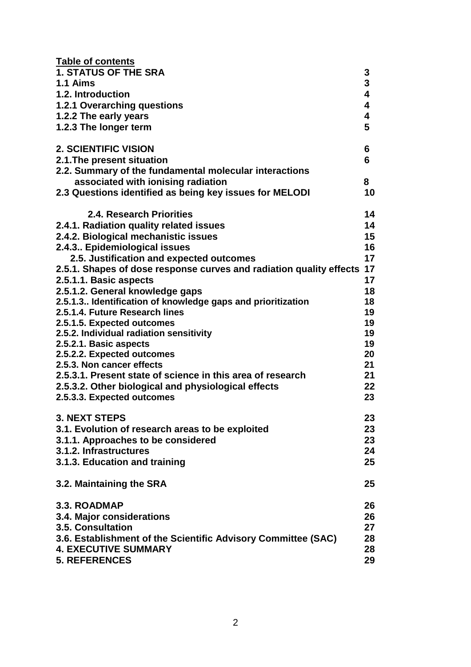| <b>Table of contents</b>                                            |          |
|---------------------------------------------------------------------|----------|
| <b>1. STATUS OF THE SRA</b>                                         | 3        |
| 1.1 Aims                                                            | 3        |
| 1.2. Introduction                                                   | 4        |
| <b>1.2.1 Overarching questions</b>                                  | 4        |
| 1.2.2 The early years                                               | 4        |
| 1.2.3 The longer term                                               | 5        |
| <b>2. SCIENTIFIC VISION</b>                                         | 6        |
| 2.1. The present situation                                          | 6        |
| 2.2. Summary of the fundamental molecular interactions              |          |
| associated with ionising radiation                                  | 8        |
| 2.3 Questions identified as being key issues for MELODI             | 10       |
| 2.4. Research Priorities                                            | 14       |
| 2.4.1. Radiation quality related issues                             | 14       |
| 2.4.2. Biological mechanistic issues                                | 15       |
| 2.4.3 Epidemiological issues                                        | 16       |
| 2.5. Justification and expected outcomes                            | 17       |
| 2.5.1. Shapes of dose response curves and radiation quality effects | 17       |
| 2.5.1.1. Basic aspects                                              | 17       |
| 2.5.1.2. General knowledge gaps                                     | 18       |
| 2.5.1.3. Identification of knowledge gaps and prioritization        | 18       |
| 2.5.1.4. Future Research lines                                      | 19       |
| 2.5.1.5. Expected outcomes                                          | 19       |
| 2.5.2. Individual radiation sensitivity                             | 19       |
| 2.5.2.1. Basic aspects                                              | 19<br>20 |
| 2.5.2.2. Expected outcomes<br>2.5.3. Non cancer effects             | 21       |
| 2.5.3.1. Present state of science in this area of research          | 21       |
| 2.5.3.2. Other biological and physiological effects                 | 22       |
| 2.5.3.3. Expected outcomes                                          | 23       |
| <b>3. NEXT STEPS</b>                                                | 23       |
| 3.1. Evolution of research areas to be exploited                    | 23       |
| 3.1.1. Approaches to be considered                                  | 23       |
| 3.1.2. Infrastructures                                              | 24       |
| 3.1.3. Education and training                                       | 25       |
|                                                                     |          |
| 3.2. Maintaining the SRA                                            | 25       |
| 3.3. ROADMAP                                                        | 26       |
| 3.4. Major considerations                                           | 26       |
| <b>3.5. Consultation</b>                                            | 27       |
| 3.6. Establishment of the Scientific Advisory Committee (SAC)       | 28       |
| <b>4. EXECUTIVE SUMMARY</b>                                         | 28       |
| <b>5. REFERENCES</b>                                                | 29       |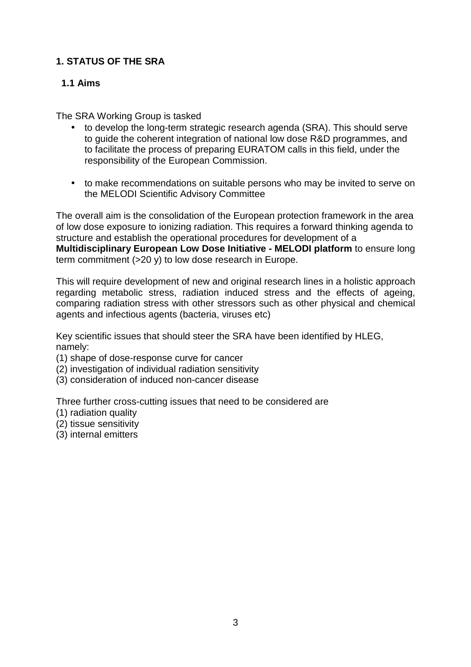# **1. STATUS OF THE SRA**

# **1.1 Aims**

The SRA Working Group is tasked

- to develop the long-term strategic research agenda (SRA). This should serve to guide the coherent integration of national low dose R&D programmes, and to facilitate the process of preparing EURATOM calls in this field, under the responsibility of the European Commission.
- to make recommendations on suitable persons who may be invited to serve on the MELODI Scientific Advisory Committee

The overall aim is the consolidation of the European protection framework in the area of low dose exposure to ionizing radiation. This requires a forward thinking agenda to structure and establish the operational procedures for development of a **Multidisciplinary European Low Dose Initiative - MELODI platform** to ensure long term commitment (>20 y) to low dose research in Europe.

This will require development of new and original research lines in a holistic approach regarding metabolic stress, radiation induced stress and the effects of ageing, comparing radiation stress with other stressors such as other physical and chemical agents and infectious agents (bacteria, viruses etc)

Key scientific issues that should steer the SRA have been identified by HLEG, namely:

- (1) shape of dose-response curve for cancer
- (2) investigation of individual radiation sensitivity
- (3) consideration of induced non-cancer disease

Three further cross-cutting issues that need to be considered are

- (1) radiation quality
- (2) tissue sensitivity
- (3) internal emitters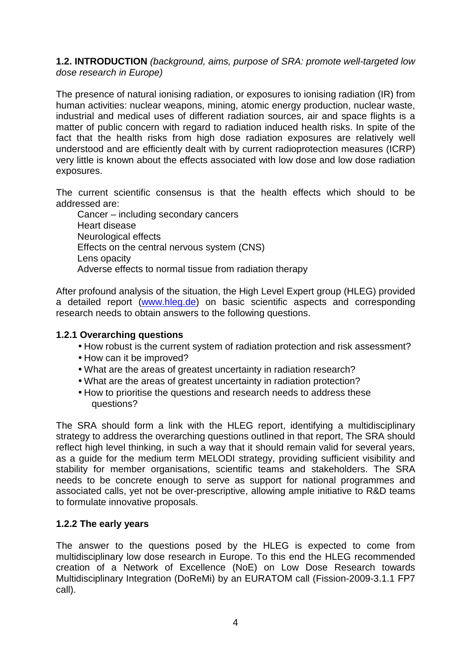#### **1.2. INTRODUCTION** (background, aims, purpose of SRA: promote well-targeted low dose research in Europe)

The presence of natural ionising radiation, or exposures to ionising radiation (IR) from human activities: nuclear weapons, mining, atomic energy production, nuclear waste, industrial and medical uses of different radiation sources, air and space flights is a matter of public concern with regard to radiation induced health risks. In spite of the fact that the health risks from high dose radiation exposures are relatively well understood and are efficiently dealt with by current radioprotection measures (ICRP) very little is known about the effects associated with low dose and low dose radiation exposures.

The current scientific consensus is that the health effects which should to be addressed are:

Cancer – including secondary cancers Heart disease Neurological effects Effects on the central nervous system (CNS) Lens opacity Adverse effects to normal tissue from radiation therapy

After profound analysis of the situation, the High Level Expert group (HLEG) provided a detailed report (www.hleg.de) on basic scientific aspects and corresponding research needs to obtain answers to the following questions.

#### **1.2.1 Overarching questions**

- How robust is the current system of radiation protection and risk assessment?
- How can it be improved?
- What are the areas of greatest uncertainty in radiation research?
- What are the areas of greatest uncertainty in radiation protection?
- How to prioritise the questions and research needs to address these questions?

The SRA should form a link with the HLEG report, identifying a multidisciplinary strategy to address the overarching questions outlined in that report, The SRA should reflect high level thinking, in such a way that it should remain valid for several years, as a guide for the medium term MELODI strategy, providing sufficient visibility and stability for member organisations, scientific teams and stakeholders. The SRA needs to be concrete enough to serve as support for national programmes and associated calls, yet not be over-prescriptive, allowing ample initiative to R&D teams to formulate innovative proposals.

# **1.2.2 The early years**

The answer to the questions posed by the HLEG is expected to come from multidisciplinary low dose research in Europe. To this end the HLEG recommended creation of a Network of Excellence (NoE) on Low Dose Research towards Multidisciplinary Integration (DoReMi) by an EURATOM call (Fission-2009-3.1.1 FP7 call).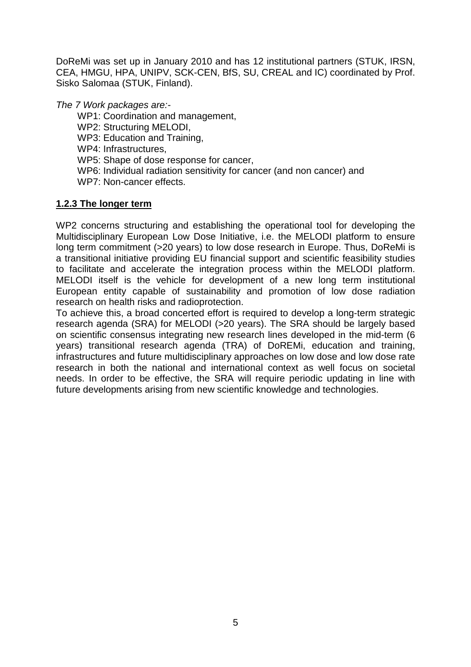DoReMi was set up in January 2010 and has 12 institutional partners (STUK, IRSN, CEA, HMGU, HPA, UNIPV, SCK-CEN, BfS, SU, CREAL and IC) coordinated by Prof. Sisko Salomaa (STUK, Finland).

The 7 Work packages are:-

WP1: Coordination and management,

WP2: Structuring MELODI,

WP3: Education and Training,

WP4: Infrastructures,

WP5: Shape of dose response for cancer,

WP6: Individual radiation sensitivity for cancer (and non cancer) and WP7: Non-cancer effects.

# **1.2.3 The longer term**

WP2 concerns structuring and establishing the operational tool for developing the Multidisciplinary European Low Dose Initiative, i.e. the MELODI platform to ensure long term commitment (>20 years) to low dose research in Europe. Thus, DoReMi is a transitional initiative providing EU financial support and scientific feasibility studies to facilitate and accelerate the integration process within the MELODI platform. MELODI itself is the vehicle for development of a new long term institutional European entity capable of sustainability and promotion of low dose radiation research on health risks and radioprotection.

To achieve this, a broad concerted effort is required to develop a long-term strategic research agenda (SRA) for MELODI (>20 years). The SRA should be largely based on scientific consensus integrating new research lines developed in the mid-term (6 years) transitional research agenda (TRA) of DoREMi, education and training, infrastructures and future multidisciplinary approaches on low dose and low dose rate research in both the national and international context as well focus on societal needs. In order to be effective, the SRA will require periodic updating in line with future developments arising from new scientific knowledge and technologies.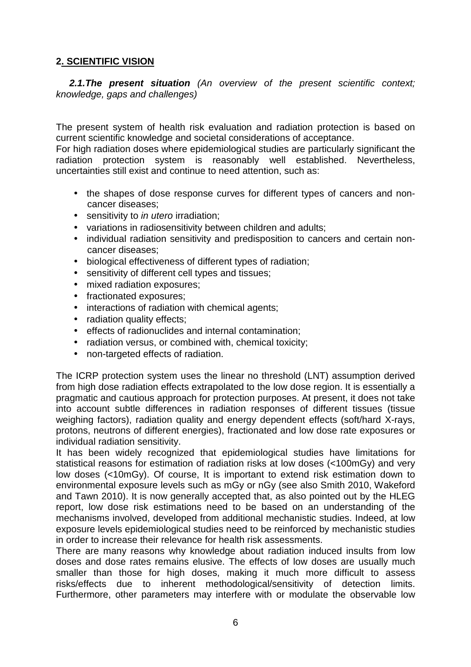# **2. SCIENTIFIC VISION**

 **2.1.The present situation** (An overview of the present scientific context; knowledge, gaps and challenges)

The present system of health risk evaluation and radiation protection is based on current scientific knowledge and societal considerations of acceptance.

For high radiation doses where epidemiological studies are particularly significant the radiation protection system is reasonably well established. Nevertheless, uncertainties still exist and continue to need attention, such as:

- the shapes of dose response curves for different types of cancers and noncancer diseases;
- sensitivity to *in utero* irradiation;
- variations in radiosensitivity between children and adults;
- individual radiation sensitivity and predisposition to cancers and certain noncancer diseases;
- biological effectiveness of different types of radiation;
- sensitivity of different cell types and tissues:
- mixed radiation exposures;
- fractionated exposures;
- interactions of radiation with chemical agents;
- radiation quality effects:
- effects of radionuclides and internal contamination;
- radiation versus, or combined with, chemical toxicity;
- non-targeted effects of radiation.

The ICRP protection system uses the linear no threshold (LNT) assumption derived from high dose radiation effects extrapolated to the low dose region. It is essentially a pragmatic and cautious approach for protection purposes. At present, it does not take into account subtle differences in radiation responses of different tissues (tissue weighing factors), radiation quality and energy dependent effects (soft/hard X-rays, protons, neutrons of different energies), fractionated and low dose rate exposures or individual radiation sensitivity.

It has been widely recognized that epidemiological studies have limitations for statistical reasons for estimation of radiation risks at low doses (<100mGy) and very low doses (<10mGy). Of course, It is important to extend risk estimation down to environmental exposure levels such as mGy or nGy (see also Smith 2010, Wakeford and Tawn 2010). It is now generally accepted that, as also pointed out by the HLEG report, low dose risk estimations need to be based on an understanding of the mechanisms involved, developed from additional mechanistic studies. Indeed, at low exposure levels epidemiological studies need to be reinforced by mechanistic studies in order to increase their relevance for health risk assessments.

There are many reasons why knowledge about radiation induced insults from low doses and dose rates remains elusive. The effects of low doses are usually much smaller than those for high doses, making it much more difficult to assess risks/effects due to inherent methodological/sensitivity of detection limits. Furthermore, other parameters may interfere with or modulate the observable low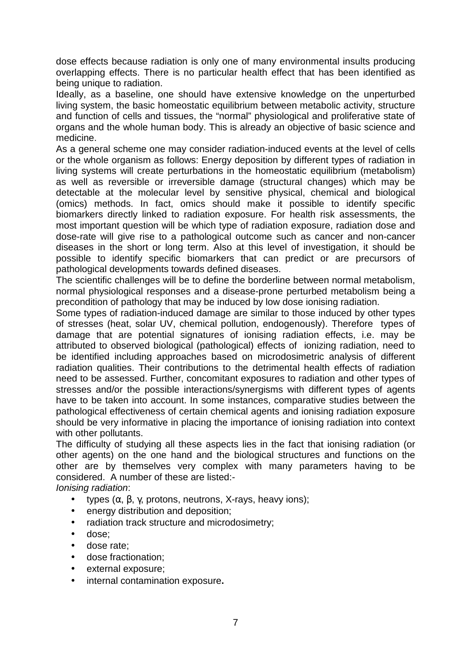dose effects because radiation is only one of many environmental insults producing overlapping effects. There is no particular health effect that has been identified as being unique to radiation.

Ideally, as a baseline, one should have extensive knowledge on the unperturbed living system, the basic homeostatic equilibrium between metabolic activity, structure and function of cells and tissues, the "normal" physiological and proliferative state of organs and the whole human body. This is already an objective of basic science and medicine.

As a general scheme one may consider radiation-induced events at the level of cells or the whole organism as follows: Energy deposition by different types of radiation in living systems will create perturbations in the homeostatic equilibrium (metabolism) as well as reversible or irreversible damage (structural changes) which may be detectable at the molecular level by sensitive physical, chemical and biological (omics) methods. In fact, omics should make it possible to identify specific biomarkers directly linked to radiation exposure. For health risk assessments, the most important question will be which type of radiation exposure, radiation dose and dose-rate will give rise to a pathological outcome such as cancer and non-cancer diseases in the short or long term. Also at this level of investigation, it should be possible to identify specific biomarkers that can predict or are precursors of pathological developments towards defined diseases.

The scientific challenges will be to define the borderline between normal metabolism, normal physiological responses and a disease-prone perturbed metabolism being a precondition of pathology that may be induced by low dose ionising radiation.

Some types of radiation-induced damage are similar to those induced by other types of stresses (heat, solar UV, chemical pollution, endogenously). Therefore types of damage that are potential signatures of ionising radiation effects, i.e. may be attributed to observed biological (pathological) effects of ionizing radiation, need to be identified including approaches based on microdosimetric analysis of different radiation qualities. Their contributions to the detrimental health effects of radiation need to be assessed. Further, concomitant exposures to radiation and other types of stresses and/or the possible interactions/synergisms with different types of agents have to be taken into account. In some instances, comparative studies between the pathological effectiveness of certain chemical agents and ionising radiation exposure should be very informative in placing the importance of ionising radiation into context with other pollutants.

The difficulty of studying all these aspects lies in the fact that ionising radiation (or other agents) on the one hand and the biological structures and functions on the other are by themselves very complex with many parameters having to be considered. A number of these are listed:-

Ionising radiation:

- types  $(\alpha, \beta, \gamma, \gamma)$  protons, neutrons, X-rays, heavy ions);
- energy distribution and deposition;
- radiation track structure and microdosimetry;
- dose;
- dose rate;
- dose fractionation;
- external exposure:
- internal contamination exposure**.**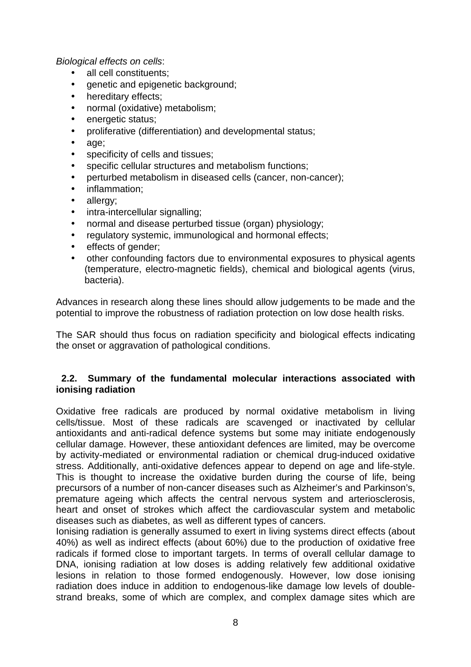#### Biological effects on cells:

- all cell constituents:
- genetic and epigenetic background;
- hereditary effects;
- normal (oxidative) metabolism;
- energetic status:
- proliferative (differentiation) and developmental status;
- age;
- specificity of cells and tissues;
- specific cellular structures and metabolism functions;
- perturbed metabolism in diseased cells (cancer, non-cancer);
- inflammation;
- allergy;
- intra-intercellular signalling;
- normal and disease perturbed tissue (organ) physiology;
- regulatory systemic, immunological and hormonal effects;
- effects of gender;
- other confounding factors due to environmental exposures to physical agents (temperature, electro-magnetic fields), chemical and biological agents (virus, bacteria).

Advances in research along these lines should allow judgements to be made and the potential to improve the robustness of radiation protection on low dose health risks.

The SAR should thus focus on radiation specificity and biological effects indicating the onset or aggravation of pathological conditions.

#### **2.2. Summary of the fundamental molecular interactions associated with ionising radiation**

Oxidative free radicals are produced by normal oxidative metabolism in living cells/tissue. Most of these radicals are scavenged or inactivated by cellular antioxidants and anti-radical defence systems but some may initiate endogenously cellular damage. However, these antioxidant defences are limited, may be overcome by activity-mediated or environmental radiation or chemical drug-induced oxidative stress. Additionally, anti-oxidative defences appear to depend on age and life-style. This is thought to increase the oxidative burden during the course of life, being precursors of a number of non-cancer diseases such as Alzheimer's and Parkinson's, premature ageing which affects the central nervous system and arteriosclerosis, heart and onset of strokes which affect the cardiovascular system and metabolic diseases such as diabetes, as well as different types of cancers.

Ionising radiation is generally assumed to exert in living systems direct effects (about 40%) as well as indirect effects (about 60%) due to the production of oxidative free radicals if formed close to important targets. In terms of overall cellular damage to DNA, ionising radiation at low doses is adding relatively few additional oxidative lesions in relation to those formed endogenously. However, low dose ionising radiation does induce in addition to endogenous-like damage low levels of doublestrand breaks, some of which are complex, and complex damage sites which are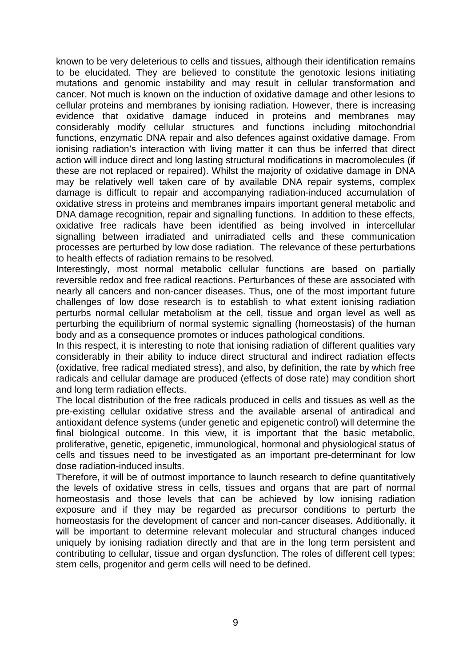known to be very deleterious to cells and tissues, although their identification remains to be elucidated. They are believed to constitute the genotoxic lesions initiating mutations and genomic instability and may result in cellular transformation and cancer. Not much is known on the induction of oxidative damage and other lesions to cellular proteins and membranes by ionising radiation. However, there is increasing evidence that oxidative damage induced in proteins and membranes may considerably modify cellular structures and functions including mitochondrial functions, enzymatic DNA repair and also defences against oxidative damage. From ionising radiation's interaction with living matter it can thus be inferred that direct action will induce direct and long lasting structural modifications in macromolecules (if these are not replaced or repaired). Whilst the majority of oxidative damage in DNA may be relatively well taken care of by available DNA repair systems, complex damage is difficult to repair and accompanying radiation-induced accumulation of oxidative stress in proteins and membranes impairs important general metabolic and DNA damage recognition, repair and signalling functions. In addition to these effects, oxidative free radicals have been identified as being involved in intercellular signalling between irradiated and unirradiated cells and these communication processes are perturbed by low dose radiation. The relevance of these perturbations to health effects of radiation remains to be resolved.

Interestingly, most normal metabolic cellular functions are based on partially reversible redox and free radical reactions. Perturbances of these are associated with nearly all cancers and non-cancer diseases. Thus, one of the most important future challenges of low dose research is to establish to what extent ionising radiation perturbs normal cellular metabolism at the cell, tissue and organ level as well as perturbing the equilibrium of normal systemic signalling (homeostasis) of the human body and as a consequence promotes or induces pathological conditions.

In this respect, it is interesting to note that ionising radiation of different qualities vary considerably in their ability to induce direct structural and indirect radiation effects (oxidative, free radical mediated stress), and also, by definition, the rate by which free radicals and cellular damage are produced (effects of dose rate) may condition short and long term radiation effects.

The local distribution of the free radicals produced in cells and tissues as well as the pre-existing cellular oxidative stress and the available arsenal of antiradical and antioxidant defence systems (under genetic and epigenetic control) will determine the final biological outcome. In this view, it is important that the basic metabolic, proliferative, genetic, epigenetic, immunological, hormonal and physiological status of cells and tissues need to be investigated as an important pre-determinant for low dose radiation-induced insults.

Therefore, it will be of outmost importance to launch research to define quantitatively the levels of oxidative stress in cells, tissues and organs that are part of normal homeostasis and those levels that can be achieved by low ionising radiation exposure and if they may be regarded as precursor conditions to perturb the homeostasis for the development of cancer and non-cancer diseases. Additionally, it will be important to determine relevant molecular and structural changes induced uniquely by ionising radiation directly and that are in the long term persistent and contributing to cellular, tissue and organ dysfunction. The roles of different cell types; stem cells, progenitor and germ cells will need to be defined.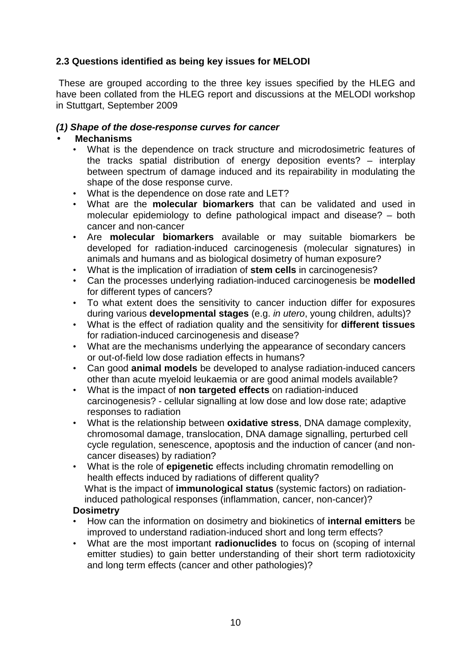# **2.3 Questions identified as being key issues for MELODI**

 These are grouped according to the three key issues specified by the HLEG and have been collated from the HLEG report and discussions at the MELODI workshop in Stuttgart, September 2009

### **(1) Shape of the dose-response curves for cancer**

# • **Mechanisms**

- What is the dependence on track structure and microdosimetric features of the tracks spatial distribution of energy deposition events? – interplay between spectrum of damage induced and its repairability in modulating the shape of the dose response curve.
- What is the dependence on dose rate and LET?
- What are the **molecular biomarkers** that can be validated and used in molecular epidemiology to define pathological impact and disease? – both cancer and non-cancer
- Are **molecular biomarkers** available or may suitable biomarkers be developed for radiation-induced carcinogenesis (molecular signatures) in animals and humans and as biological dosimetry of human exposure?
- What is the implication of irradiation of **stem cells** in carcinogenesis?
- Can the processes underlying radiation-induced carcinogenesis be **modelled** for different types of cancers?
- To what extent does the sensitivity to cancer induction differ for exposures during various **developmental stages** (e.g. in utero, young children, adults)?
- What is the effect of radiation quality and the sensitivity for **different tissues** for radiation-induced carcinogenesis and disease?
- What are the mechanisms underlying the appearance of secondary cancers or out-of-field low dose radiation effects in humans?
- Can good **animal models** be developed to analyse radiation-induced cancers other than acute myeloid leukaemia or are good animal models available?
- What is the impact of **non targeted effects** on radiation-induced carcinogenesis? - cellular signalling at low dose and low dose rate; adaptive responses to radiation
- What is the relationship between **oxidative stress**, DNA damage complexity, chromosomal damage, translocation, DNA damage signalling, perturbed cell cycle regulation, senescence, apoptosis and the induction of cancer (and noncancer diseases) by radiation?
- What is the role of **epigenetic** effects including chromatin remodelling on health effects induced by radiations of different quality? What is the impact of **immunological status** (systemic factors) on radiationinduced pathological responses (inflammation, cancer, non-cancer)?

#### **Dosimetry**

- How can the information on dosimetry and biokinetics of **internal emitters** be improved to understand radiation-induced short and long term effects?
- What are the most important **radionuclides** to focus on (scoping of internal emitter studies) to gain better understanding of their short term radiotoxicity and long term effects (cancer and other pathologies)?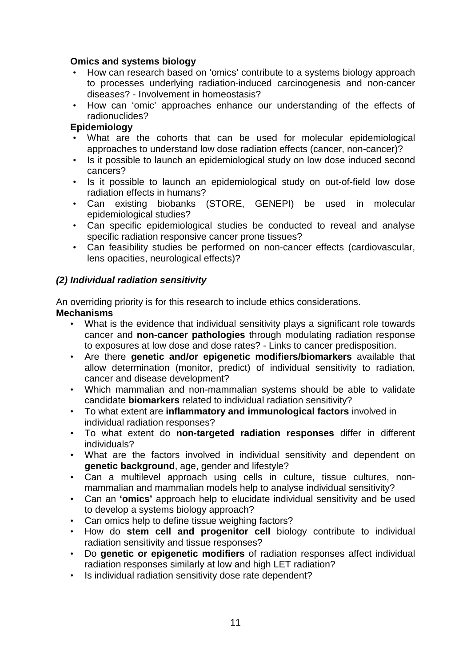### **Omics and systems biology**

- How can research based on 'omics' contribute to a systems biology approach to processes underlying radiation-induced carcinogenesis and non-cancer diseases? - Involvement in homeostasis?
- How can 'omic' approaches enhance our understanding of the effects of radionuclides?

#### **Epidemiology**

- What are the cohorts that can be used for molecular epidemiological approaches to understand low dose radiation effects (cancer, non-cancer)?
- Is it possible to launch an epidemiological study on low dose induced second cancers?
- Is it possible to launch an epidemiological study on out-of-field low dose radiation effects in humans?
- Can existing biobanks (STORE, GENEPI) be used in molecular epidemiological studies?
- Can specific epidemiological studies be conducted to reveal and analyse specific radiation responsive cancer prone tissues?
- Can feasibility studies be performed on non-cancer effects (cardiovascular, lens opacities, neurological effects)?

#### **(2) Individual radiation sensitivity**

An overriding priority is for this research to include ethics considerations. **Mechanisms** 

- What is the evidence that individual sensitivity plays a significant role towards cancer and **non-cancer pathologies** through modulating radiation response to exposures at low dose and dose rates? - Links to cancer predisposition.
- Are there **genetic and/or epigenetic modifiers/biomarkers** available that allow determination (monitor, predict) of individual sensitivity to radiation, cancer and disease development?
- Which mammalian and non-mammalian systems should be able to validate candidate **biomarkers** related to individual radiation sensitivity?
- To what extent are **inflammatory and immunological factors** involved in individual radiation responses?
- To what extent do **non-targeted radiation responses** differ in different individuals?
- What are the factors involved in individual sensitivity and dependent on **genetic background**, age, gender and lifestyle?
- Can a multilevel approach using cells in culture, tissue cultures, nonmammalian and mammalian models help to analyse individual sensitivity?
- Can an **'omics'** approach help to elucidate individual sensitivity and be used to develop a systems biology approach?
- Can omics help to define tissue weighing factors?
- How do **stem cell and progenitor cell** biology contribute to individual radiation sensitivity and tissue responses?
- Do **genetic or epigenetic modifiers** of radiation responses affect individual radiation responses similarly at low and high LET radiation?
- Is individual radiation sensitivity dose rate dependent?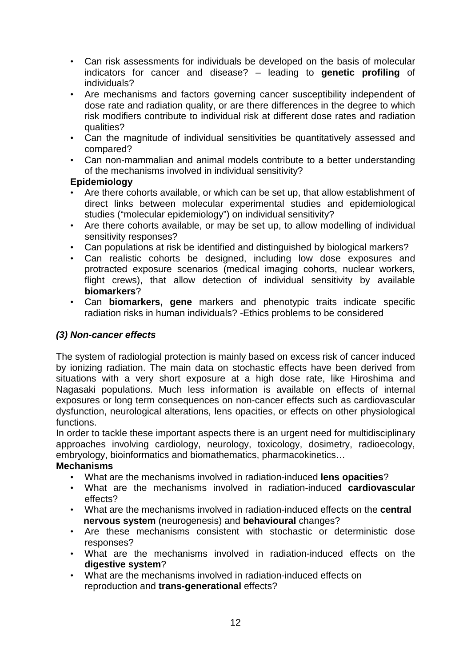- Can risk assessments for individuals be developed on the basis of molecular indicators for cancer and disease? – leading to **genetic profiling** of individuals?
- Are mechanisms and factors governing cancer susceptibility independent of dose rate and radiation quality, or are there differences in the degree to which risk modifiers contribute to individual risk at different dose rates and radiation qualities?
- Can the magnitude of individual sensitivities be quantitatively assessed and compared?
- Can non-mammalian and animal models contribute to a better understanding of the mechanisms involved in individual sensitivity?

# **Epidemiology**

- Are there cohorts available, or which can be set up, that allow establishment of direct links between molecular experimental studies and epidemiological studies ("molecular epidemiology") on individual sensitivity?
- Are there cohorts available, or may be set up, to allow modelling of individual sensitivity responses?
- Can populations at risk be identified and distinguished by biological markers?
- Can realistic cohorts be designed, including low dose exposures and protracted exposure scenarios (medical imaging cohorts, nuclear workers, flight crews), that allow detection of individual sensitivity by available **biomarkers**?
- Can **biomarkers, gene** markers and phenotypic traits indicate specific radiation risks in human individuals? -Ethics problems to be considered

# **(3) Non-cancer effects**

The system of radiologial protection is mainly based on excess risk of cancer induced by ionizing radiation. The main data on stochastic effects have been derived from situations with a very short exposure at a high dose rate, like Hiroshima and Nagasaki populations. Much less information is available on effects of internal exposures or long term consequences on non-cancer effects such as cardiovascular dysfunction, neurological alterations, lens opacities, or effects on other physiological functions.

In order to tackle these important aspects there is an urgent need for multidisciplinary approaches involving cardiology, neurology, toxicology, dosimetry, radioecology, embryology, bioinformatics and biomathematics, pharmacokinetics…

# **Mechanisms**

- What are the mechanisms involved in radiation-induced **lens opacities**?
- What are the mechanisms involved in radiation-induced **cardiovascular**  effects?
- What are the mechanisms involved in radiation-induced effects on the **central nervous system** (neurogenesis) and **behavioural** changes?
- Are these mechanisms consistent with stochastic or deterministic dose responses?
- What are the mechanisms involved in radiation-induced effects on the **digestive system**?
- What are the mechanisms involved in radiation-induced effects on reproduction and **trans-generational** effects?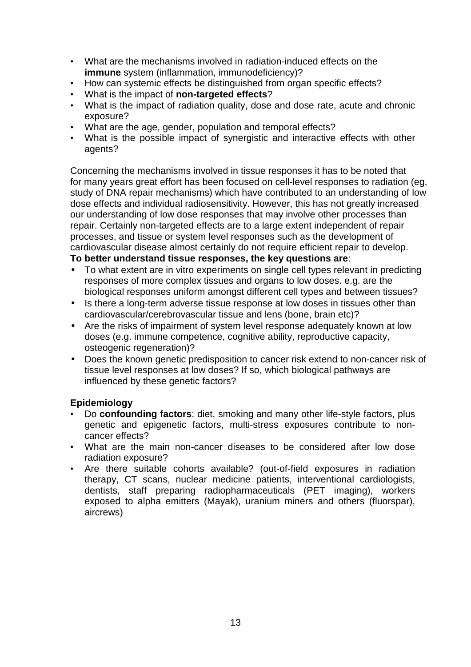- What are the mechanisms involved in radiation-induced effects on the **immune** system (inflammation, immunodeficiency)?
- How can systemic effects be distinguished from organ specific effects?
- What is the impact of **non-targeted effects**?
- What is the impact of radiation quality, dose and dose rate, acute and chronic exposure?
- What are the age, gender, population and temporal effects?
- What is the possible impact of synergistic and interactive effects with other agents?

Concerning the mechanisms involved in tissue responses it has to be noted that for many years great effort has been focused on cell-level responses to radiation (eg, study of DNA repair mechanisms) which have contributed to an understanding of low dose effects and individual radiosensitivity. However, this has not greatly increased our understanding of low dose responses that may involve other processes than repair. Certainly non-targeted effects are to a large extent independent of repair processes, and tissue or system level responses such as the development of cardiovascular disease almost certainly do not require efficient repair to develop. **To better understand tissue responses, the key questions are**:

- To what extent are in vitro experiments on single cell types relevant in predicting responses of more complex tissues and organs to low doses. e.g. are the biological responses uniform amongst different cell types and between tissues?
- Is there a long-term adverse tissue response at low doses in tissues other than cardiovascular/cerebrovascular tissue and lens (bone, brain etc)?
- Are the risks of impairment of system level response adequately known at low doses (e.g. immune competence, cognitive ability, reproductive capacity, osteogenic regeneration)?
- Does the known genetic predisposition to cancer risk extend to non-cancer risk of tissue level responses at low doses? If so, which biological pathways are influenced by these genetic factors?

# **Epidemiology**

- Do **confounding factors**: diet, smoking and many other life-style factors, plus genetic and epigenetic factors, multi-stress exposures contribute to noncancer effects?
- What are the main non-cancer diseases to be considered after low dose radiation exposure?
- Are there suitable cohorts available? (out-of-field exposures in radiation therapy, CT scans, nuclear medicine patients, interventional cardiologists, dentists, staff preparing radiopharmaceuticals (PET imaging), workers exposed to alpha emitters (Mayak), uranium miners and others (fluorspar), aircrews)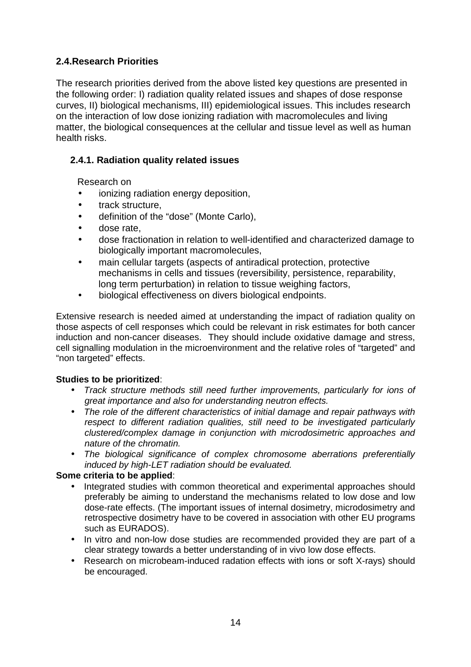# **2.4.Research Priorities**

The research priorities derived from the above listed key questions are presented in the following order: I) radiation quality related issues and shapes of dose response curves, II) biological mechanisms, III) epidemiological issues. This includes research on the interaction of low dose ionizing radiation with macromolecules and living matter, the biological consequences at the cellular and tissue level as well as human health risks.

# **2.4.1. Radiation quality related issues**

Research on

- ionizing radiation energy deposition,
- track structure,
- definition of the "dose" (Monte Carlo),
- dose rate,
- dose fractionation in relation to well-identified and characterized damage to biologically important macromolecules,
- main cellular targets (aspects of antiradical protection, protective mechanisms in cells and tissues (reversibility, persistence, reparability, long term perturbation) in relation to tissue weighing factors,
- biological effectiveness on divers biological endpoints.

Extensive research is needed aimed at understanding the impact of radiation quality on those aspects of cell responses which could be relevant in risk estimates for both cancer induction and non-cancer diseases. They should include oxidative damage and stress, cell signalling modulation in the microenvironment and the relative roles of "targeted" and "non targeted" effects.

#### **Studies to be prioritized**:

- Track structure methods still need further improvements, particularly for ions of great importance and also for understanding neutron effects.
- The role of the different characteristics of initial damage and repair pathways with respect to different radiation qualities, still need to be investigated particularly clustered/complex damage in conjunction with microdosimetric approaches and nature of the chromatin.
- The biological significance of complex chromosome aberrations preferentially induced by high-LET radiation should be evaluated.

#### **Some criteria to be applied**:

- Integrated studies with common theoretical and experimental approaches should preferably be aiming to understand the mechanisms related to low dose and low dose-rate effects. (The important issues of internal dosimetry, microdosimetry and retrospective dosimetry have to be covered in association with other EU programs such as EURADOS).
- In vitro and non-low dose studies are recommended provided they are part of a clear strategy towards a better understanding of in vivo low dose effects.
- Research on microbeam-induced radation effects with ions or soft X-rays) should be encouraged.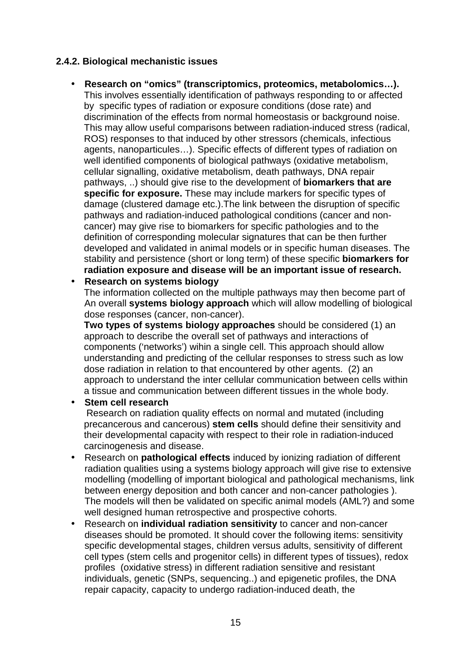# **2.4.2. Biological mechanistic issues**

• **Research on "omics" (transcriptomics, proteomics, metabolomics…).**  This involves essentially identification of pathways responding to or affected by specific types of radiation or exposure conditions (dose rate) and discrimination of the effects from normal homeostasis or background noise. This may allow useful comparisons between radiation-induced stress (radical, ROS) responses to that induced by other stressors (chemicals, infectious agents, nanoparticules…). Specific effects of different types of radiation on well identified components of biological pathways (oxidative metabolism, cellular signalling, oxidative metabolism, death pathways, DNA repair pathways, ..) should give rise to the development of **biomarkers that are specific for exposure.** These may include markers for specific types of damage (clustered damage etc.).The link between the disruption of specific pathways and radiation-induced pathological conditions (cancer and noncancer) may give rise to biomarkers for specific pathologies and to the definition of corresponding molecular signatures that can be then further developed and validated in animal models or in specific human diseases. The stability and persistence (short or long term) of these specific **biomarkers for radiation exposure and disease will be an important issue of research.** 

#### • **Research on systems biology**

The information collected on the multiple pathways may then become part of An overall **systems biology approach** which will allow modelling of biological dose responses (cancer, non-cancer).

**Two types of systems biology approaches** should be considered (1) an approach to describe the overall set of pathways and interactions of components ('networks') wihin a single cell. This approach should allow understanding and predicting of the cellular responses to stress such as low dose radiation in relation to that encountered by other agents. (2) an approach to understand the inter cellular communication between cells within a tissue and communication between different tissues in the whole body.

#### • **Stem cell research**

Research on radiation quality effects on normal and mutated (including precancerous and cancerous) **stem cells** should define their sensitivity and their developmental capacity with respect to their role in radiation-induced carcinogenesis and disease.

- Research on **pathological effects** induced by ionizing radiation of different radiation qualities using a systems biology approach will give rise to extensive modelling (modelling of important biological and pathological mechanisms, link between energy deposition and both cancer and non-cancer pathologies ). The models will then be validated on specific animal models (AML?) and some well designed human retrospective and prospective cohorts.
- Research on **individual radiation sensitivity** to cancer and non-cancer diseases should be promoted. It should cover the following items: sensitivity specific developmental stages, children versus adults, sensitivity of different cell types (stem cells and progenitor cells) in different types of tissues), redox profiles (oxidative stress) in different radiation sensitive and resistant individuals, genetic (SNPs, sequencing..) and epigenetic profiles, the DNA repair capacity, capacity to undergo radiation-induced death, the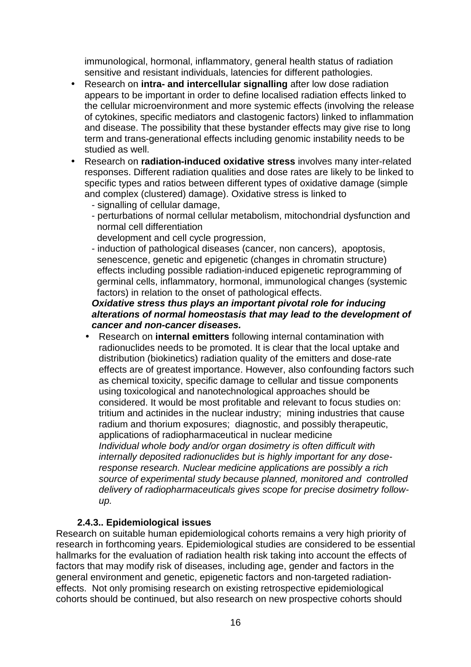immunological, hormonal, inflammatory, general health status of radiation sensitive and resistant individuals, latencies for different pathologies.

- Research on **intra- and intercellular signalling** after low dose radiation appears to be important in order to define localised radiation effects linked to the cellular microenvironment and more systemic effects (involving the release of cytokines, specific mediators and clastogenic factors) linked to inflammation and disease. The possibility that these bystander effects may give rise to long term and trans-generational effects including genomic instability needs to be studied as well.
- Research on **radiation-induced oxidative stress** involves many inter-related responses. Different radiation qualities and dose rates are likely to be linked to specific types and ratios between different types of oxidative damage (simple and complex (clustered) damage). Oxidative stress is linked to
	- signalling of cellular damage,
	- perturbations of normal cellular metabolism, mitochondrial dysfunction and normal cell differentiation
		- development and cell cycle progression,
	- induction of pathological diseases (cancer, non cancers), apoptosis, senescence, genetic and epigenetic (changes in chromatin structure) effects including possible radiation-induced epigenetic reprogramming of germinal cells, inflammatory, hormonal, immunological changes (systemic factors) in relation to the onset of pathological effects.

# **Oxidative stress thus plays an important pivotal role for inducing alterations of normal homeostasis that may lead to the development of cancer and non-cancer diseases.**

• Research on **internal emitters** following internal contamination with radionuclides needs to be promoted. It is clear that the local uptake and distribution (biokinetics) radiation quality of the emitters and dose-rate effects are of greatest importance. However, also confounding factors such as chemical toxicity, specific damage to cellular and tissue components using toxicological and nanotechnological approaches should be considered. It would be most profitable and relevant to focus studies on: tritium and actinides in the nuclear industry; mining industries that cause radium and thorium exposures; diagnostic, and possibly therapeutic, applications of radiopharmaceutical in nuclear medicine Individual whole body and/or organ dosimetry is often difficult with internally deposited radionuclides but is highly important for any doseresponse research. Nuclear medicine applications are possibly a rich source of experimental study because planned, monitored and controlled delivery of radiopharmaceuticals gives scope for precise dosimetry followup.

# **2.4.3.. Epidemiological issues**

Research on suitable human epidemiological cohorts remains a very high priority of research in forthcoming years. Epidemiological studies are considered to be essential hallmarks for the evaluation of radiation health risk taking into account the effects of factors that may modify risk of diseases, including age, gender and factors in the general environment and genetic, epigenetic factors and non-targeted radiationeffects. Not only promising research on existing retrospective epidemiological cohorts should be continued, but also research on new prospective cohorts should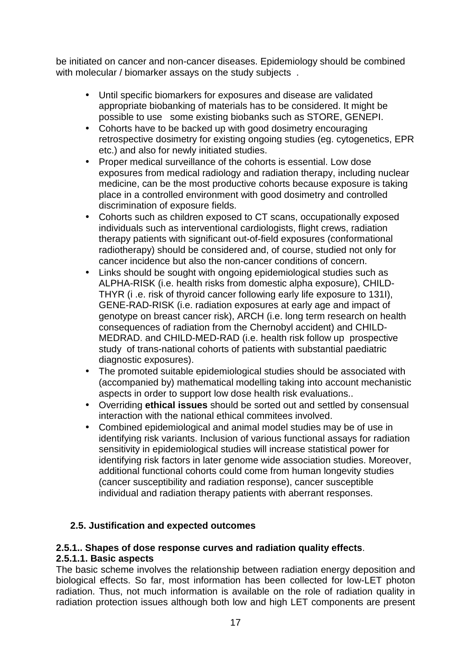be initiated on cancer and non-cancer diseases. Epidemiology should be combined with molecular / biomarker assays on the study subjects.

- Until specific biomarkers for exposures and disease are validated appropriate biobanking of materials has to be considered. It might be possible to use some existing biobanks such as STORE, GENEPI.
- Cohorts have to be backed up with good dosimetry encouraging retrospective dosimetry for existing ongoing studies (eg. cytogenetics, EPR etc.) and also for newly initiated studies.
- Proper medical surveillance of the cohorts is essential. Low dose exposures from medical radiology and radiation therapy, including nuclear medicine, can be the most productive cohorts because exposure is taking place in a controlled environment with good dosimetry and controlled discrimination of exposure fields.
- Cohorts such as children exposed to CT scans, occupationally exposed individuals such as interventional cardiologists, flight crews, radiation therapy patients with significant out-of-field exposures (conformational radiotherapy) should be considered and, of course, studied not only for cancer incidence but also the non-cancer conditions of concern.
- Links should be sought with ongoing epidemiological studies such as ALPHA-RISK (i.e. health risks from domestic alpha exposure), CHILD-THYR (i .e. risk of thyroid cancer following early life exposure to 131I), GENE-RAD-RISK (i.e. radiation exposures at early age and impact of genotype on breast cancer risk), ARCH (i.e. long term research on health consequences of radiation from the Chernobyl accident) and CHILD-MEDRAD. and CHILD-MED-RAD (i.e. health risk follow up prospective study of trans-national cohorts of patients with substantial paediatric diagnostic exposures).
- The promoted suitable epidemiological studies should be associated with (accompanied by) mathematical modelling taking into account mechanistic aspects in order to support low dose health risk evaluations..
- Overriding **ethical issues** should be sorted out and settled by consensual interaction with the national ethical commitees involved.
- Combined epidemiological and animal model studies may be of use in identifying risk variants. Inclusion of various functional assays for radiation sensitivity in epidemiological studies will increase statistical power for identifying risk factors in later genome wide association studies. Moreover, additional functional cohorts could come from human longevity studies (cancer susceptibility and radiation response), cancer susceptible individual and radiation therapy patients with aberrant responses.

# **2.5. Justification and expected outcomes**

#### **2.5.1.. Shapes of dose response curves and radiation quality effects**. **2.5.1.1. Basic aspects**

The basic scheme involves the relationship between radiation energy deposition and biological effects. So far, most information has been collected for low-LET photon radiation. Thus, not much information is available on the role of radiation quality in radiation protection issues although both low and high LET components are present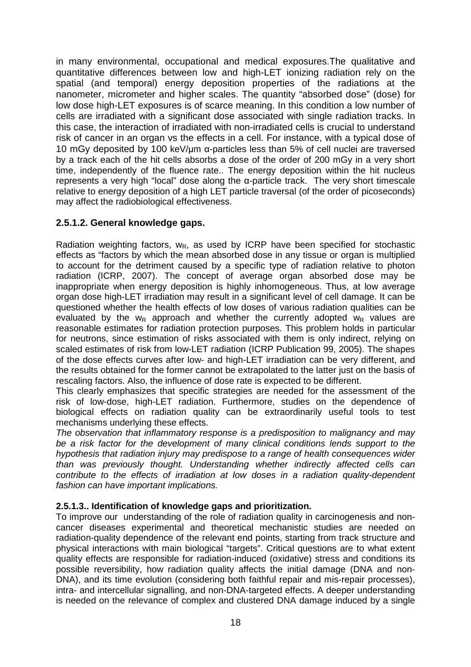in many environmental, occupational and medical exposures.The qualitative and quantitative differences between low and high-LET ionizing radiation rely on the spatial (and temporal) energy deposition properties of the radiations at the nanometer, micrometer and higher scales. The quantity "absorbed dose" (dose) for low dose high-LET exposures is of scarce meaning. In this condition a low number of cells are irradiated with a significant dose associated with single radiation tracks. In this case, the interaction of irradiated with non-irradiated cells is crucial to understand risk of cancer in an organ vs the effects in a cell. For instance, with a typical dose of 10 mGy deposited by 100 keV/µm α-particles less than 5% of cell nuclei are traversed by a track each of the hit cells absorbs a dose of the order of 200 mGy in a very short time, independently of the fluence rate.. The energy deposition within the hit nucleus represents a very high "local" dose along the α-particle track. The very short timescale relative to energy deposition of a high LET particle traversal (of the order of picoseconds) may affect the radiobiological effectiveness.

#### **2.5.1.2. General knowledge gaps.**

Radiation weighting factors,  $w_R$ , as used by ICRP have been specified for stochastic effects as "factors by which the mean absorbed dose in any tissue or organ is multiplied to account for the detriment caused by a specific type of radiation relative to photon radiation (ICRP, 2007). The concept of average organ absorbed dose may be inappropriate when energy deposition is highly inhomogeneous. Thus, at low average organ dose high-LET irradiation may result in a significant level of cell damage. It can be questioned whether the health effects of low doses of various radiation qualities can be evaluated by the  $w_R$  approach and whether the currently adopted  $w_R$  values are reasonable estimates for radiation protection purposes. This problem holds in particular for neutrons, since estimation of risks associated with them is only indirect, relying on scaled estimates of risk from low-LET radiation (ICRP Publication 99, 2005). The shapes of the dose effects curves after low- and high-LET irradiation can be very different, and the results obtained for the former cannot be extrapolated to the latter just on the basis of rescaling factors. Also, the influence of dose rate is expected to be different.

This clearly emphasizes that specific strategies are needed for the assessment of the risk of low-dose, high-LET radiation. Furthermore, studies on the dependence of biological effects on radiation quality can be extraordinarily useful tools to test mechanisms underlying these effects.

The observation that inflammatory response is a predisposition to malignancy and may be a risk factor for the development of many clinical conditions lends support to the hypothesis that radiation injury may predispose to a range of health consequences wider than was previously thought. Understanding whether indirectly affected cells can contribute to the effects of irradiation at low doses in a radiation quality-dependent fashion can have important implications.

#### **2.5.1.3.. Identification of knowledge gaps and prioritization.**

To improve our understanding of the role of radiation quality in carcinogenesis and noncancer diseases experimental and theoretical mechanistic studies are needed on radiation-quality dependence of the relevant end points, starting from track structure and physical interactions with main biological "targets". Critical questions are to what extent quality effects are responsible for radiation-induced (oxidative) stress and conditions its possible reversibility, how radiation quality affects the initial damage (DNA and non-DNA), and its time evolution (considering both faithful repair and mis-repair processes), intra- and intercellular signalling, and non-DNA-targeted effects. A deeper understanding is needed on the relevance of complex and clustered DNA damage induced by a single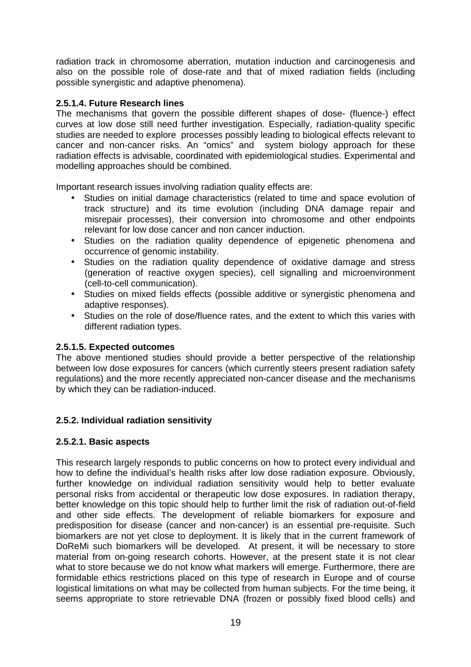radiation track in chromosome aberration, mutation induction and carcinogenesis and also on the possible role of dose-rate and that of mixed radiation fields (including possible synergistic and adaptive phenomena).

#### **2.5.1.4. Future Research lines**

The mechanisms that govern the possible different shapes of dose- (fluence-) effect curves at low dose still need further investigation. Especially, radiation-quality specific studies are needed to explore processes possibly leading to biological effects relevant to cancer and non-cancer risks. An "omics" and system biology approach for these radiation effects is advisable, coordinated with epidemiological studies. Experimental and modelling approaches should be combined.

Important research issues involving radiation quality effects are:

- Studies on initial damage characteristics (related to time and space evolution of track structure) and its time evolution (including DNA damage repair and misrepair processes), their conversion into chromosome and other endpoints relevant for low dose cancer and non cancer induction.
- Studies on the radiation quality dependence of epigenetic phenomena and occurrence of genomic instability.
- Studies on the radiation quality dependence of oxidative damage and stress (generation of reactive oxygen species), cell signalling and microenvironment (cell-to-cell communication).
- Studies on mixed fields effects (possible additive or synergistic phenomena and adaptive responses).
- Studies on the role of dose/fluence rates, and the extent to which this varies with different radiation types.

#### **2.5.1.5. Expected outcomes**

The above mentioned studies should provide a better perspective of the relationship between low dose exposures for cancers (which currently steers present radiation safety regulations) and the more recently appreciated non-cancer disease and the mechanisms by which they can be radiation-induced.

#### **2.5.2. Individual radiation sensitivity**

#### **2.5.2.1. Basic aspects**

This research largely responds to public concerns on how to protect every individual and how to define the individual's health risks after low dose radiation exposure. Obviously, further knowledge on individual radiation sensitivity would help to better evaluate personal risks from accidental or therapeutic low dose exposures. In radiation therapy, better knowledge on this topic should help to further limit the risk of radiation out-of-field and other side effects. The development of reliable biomarkers for exposure and predisposition for disease (cancer and non-cancer) is an essential pre-requisite. Such biomarkers are not yet close to deployment. It is likely that in the current framework of DoReMi such biomarkers will be developed. At present, it will be necessary to store material from on-going research cohorts. However, at the present state it is not clear what to store because we do not know what markers will emerge. Furthermore, there are formidable ethics restrictions placed on this type of research in Europe and of course logistical limitations on what may be collected from human subjects. For the time being, it seems appropriate to store retrievable DNA (frozen or possibly fixed blood cells) and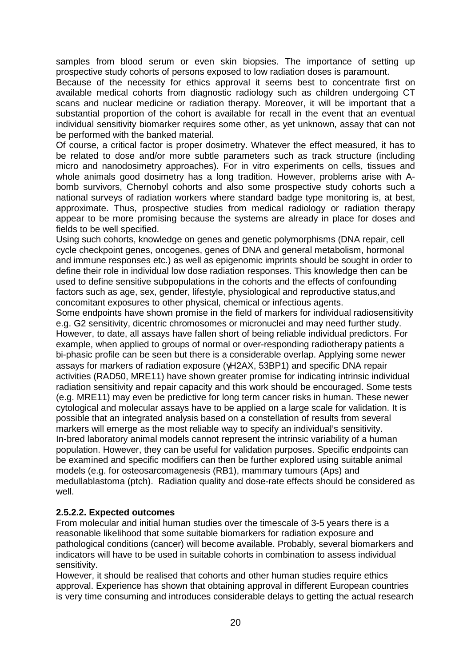samples from blood serum or even skin biopsies. The importance of setting up prospective study cohorts of persons exposed to low radiation doses is paramount.

Because of the necessity for ethics approval it seems best to concentrate first on available medical cohorts from diagnostic radiology such as children undergoing CT scans and nuclear medicine or radiation therapy. Moreover, it will be important that a substantial proportion of the cohort is available for recall in the event that an eventual individual sensitivity biomarker requires some other, as yet unknown, assay that can not be performed with the banked material.

Of course, a critical factor is proper dosimetry. Whatever the effect measured, it has to be related to dose and/or more subtle parameters such as track structure (including micro and nanodosimetry approaches). For in vitro experiments on cells, tissues and whole animals good dosimetry has a long tradition. However, problems arise with Abomb survivors, Chernobyl cohorts and also some prospective study cohorts such a national surveys of radiation workers where standard badge type monitoring is, at best, approximate. Thus, prospective studies from medical radiology or radiation therapy appear to be more promising because the systems are already in place for doses and fields to be well specified.

Using such cohorts, knowledge on genes and genetic polymorphisms (DNA repair, cell cycle checkpoint genes, oncogenes, genes of DNA and general metabolism, hormonal and immune responses etc.) as well as epigenomic imprints should be sought in order to define their role in individual low dose radiation responses. This knowledge then can be used to define sensitive subpopulations in the cohorts and the effects of confounding factors such as age, sex, gender, lifestyle, physiological and reproductive status,and concomitant exposures to other physical, chemical or infectious agents.

Some endpoints have shown promise in the field of markers for individual radiosensitivity e.g. G2 sensitivity, dicentric chromosomes or micronuclei and may need further study. However, to date, all assays have fallen short of being reliable individual predictors. For example, when applied to groups of normal or over-responding radiotherapy patients a bi-phasic profile can be seen but there is a considerable overlap. Applying some newer assays for markers of radiation exposure (γH2AX, 53BP1) and specific DNA repair activities (RAD50, MRE11) have shown greater promise for indicating intrinsic individual radiation sensitivity and repair capacity and this work should be encouraged. Some tests (e.g. MRE11) may even be predictive for long term cancer risks in human. These newer cytological and molecular assays have to be applied on a large scale for validation. It is possible that an integrated analysis based on a constellation of results from several markers will emerge as the most reliable way to specify an individual's sensitivity. In-bred laboratory animal models cannot represent the intrinsic variability of a human population. However, they can be useful for validation purposes. Specific endpoints can be examined and specific modifiers can then be further explored using suitable animal models (e.g. for osteosarcomagenesis (RB1), mammary tumours (Aps) and medullablastoma (ptch). Radiation quality and dose-rate effects should be considered as well.

#### **2.5.2.2. Expected outcomes**

From molecular and initial human studies over the timescale of 3-5 years there is a reasonable likelihood that some suitable biomarkers for radiation exposure and pathological conditions (cancer) will become available. Probably, several biomarkers and indicators will have to be used in suitable cohorts in combination to assess individual sensitivity.

However, it should be realised that cohorts and other human studies require ethics approval. Experience has shown that obtaining approval in different European countries is very time consuming and introduces considerable delays to getting the actual research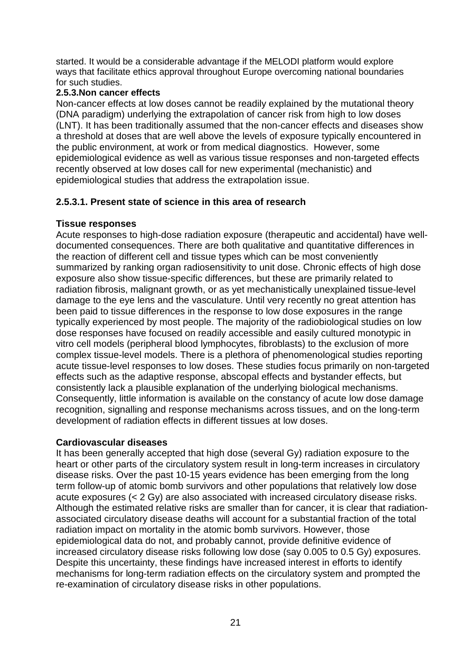started. It would be a considerable advantage if the MELODI platform would explore ways that facilitate ethics approval throughout Europe overcoming national boundaries for such studies.

#### **2.5.3.Non cancer effects**

Non-cancer effects at low doses cannot be readily explained by the mutational theory (DNA paradigm) underlying the extrapolation of cancer risk from high to low doses (LNT). It has been traditionally assumed that the non-cancer effects and diseases show a threshold at doses that are well above the levels of exposure typically encountered in the public environment, at work or from medical diagnostics. However, some epidemiological evidence as well as various tissue responses and non-targeted effects recently observed at low doses call for new experimental (mechanistic) and epidemiological studies that address the extrapolation issue.

# **2.5.3.1. Present state of science in this area of research**

#### **Tissue responses**

Acute responses to high-dose radiation exposure (therapeutic and accidental) have welldocumented consequences. There are both qualitative and quantitative differences in the reaction of different cell and tissue types which can be most conveniently summarized by ranking organ radiosensitivity to unit dose. Chronic effects of high dose exposure also show tissue-specific differences, but these are primarily related to radiation fibrosis, malignant growth, or as yet mechanistically unexplained tissue-level damage to the eye lens and the vasculature. Until very recently no great attention has been paid to tissue differences in the response to low dose exposures in the range typically experienced by most people. The majority of the radiobiological studies on low dose responses have focused on readily accessible and easily cultured monotypic in vitro cell models (peripheral blood lymphocytes, fibroblasts) to the exclusion of more complex tissue-level models. There is a plethora of phenomenological studies reporting acute tissue-level responses to low doses. These studies focus primarily on non-targeted effects such as the adaptive response, abscopal effects and bystander effects, but consistently lack a plausible explanation of the underlying biological mechanisms. Consequently, little information is available on the constancy of acute low dose damage recognition, signalling and response mechanisms across tissues, and on the long-term development of radiation effects in different tissues at low doses.

#### **Cardiovascular diseases**

It has been generally accepted that high dose (several Gy) radiation exposure to the heart or other parts of the circulatory system result in long-term increases in circulatory disease risks. Over the past 10-15 years evidence has been emerging from the long term follow-up of atomic bomb survivors and other populations that relatively low dose acute exposures (< 2 Gy) are also associated with increased circulatory disease risks. Although the estimated relative risks are smaller than for cancer, it is clear that radiationassociated circulatory disease deaths will account for a substantial fraction of the total radiation impact on mortality in the atomic bomb survivors. However, those epidemiological data do not, and probably cannot, provide definitive evidence of increased circulatory disease risks following low dose (say 0.005 to 0.5 Gy) exposures. Despite this uncertainty, these findings have increased interest in efforts to identify mechanisms for long-term radiation effects on the circulatory system and prompted the re-examination of circulatory disease risks in other populations.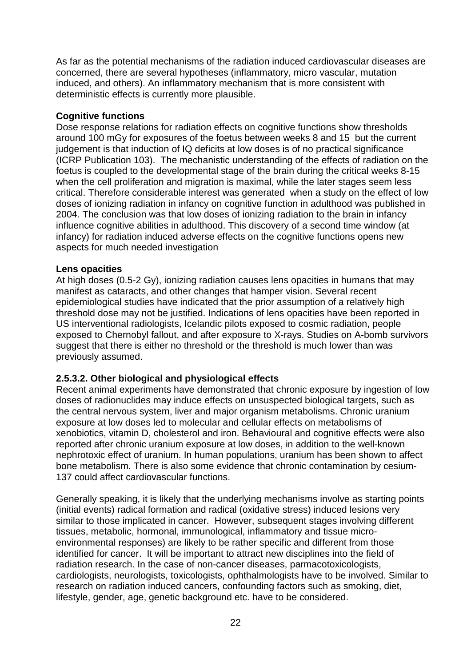As far as the potential mechanisms of the radiation induced cardiovascular diseases are concerned, there are several hypotheses (inflammatory, micro vascular, mutation induced, and others). An inflammatory mechanism that is more consistent with deterministic effects is currently more plausible.

# **Cognitive functions**

Dose response relations for radiation effects on cognitive functions show thresholds around 100 mGy for exposures of the foetus between weeks 8 and 15 but the current judgement is that induction of IQ deficits at low doses is of no practical significance (ICRP Publication 103). The mechanistic understanding of the effects of radiation on the foetus is coupled to the developmental stage of the brain during the critical weeks 8-15 when the cell proliferation and migration is maximal, while the later stages seem less critical. Therefore considerable interest was generated when a study on the effect of low doses of ionizing radiation in infancy on cognitive function in adulthood was published in 2004. The conclusion was that low doses of ionizing radiation to the brain in infancy influence cognitive abilities in adulthood. This discovery of a second time window (at infancy) for radiation induced adverse effects on the cognitive functions opens new aspects for much needed investigation

# **Lens opacities**

At high doses (0.5-2 Gy), ionizing radiation causes lens opacities in humans that may manifest as cataracts, and other changes that hamper vision. Several recent epidemiological studies have indicated that the prior assumption of a relatively high threshold dose may not be justified. Indications of lens opacities have been reported in US interventional radiologists, Icelandic pilots exposed to cosmic radiation, people exposed to Chernobyl fallout, and after exposure to X-rays. Studies on A-bomb survivors suggest that there is either no threshold or the threshold is much lower than was previously assumed.

# **2.5.3.2. Other biological and physiological effects**

Recent animal experiments have demonstrated that chronic exposure by ingestion of low doses of radionuclides may induce effects on unsuspected biological targets, such as the central nervous system, liver and major organism metabolisms. Chronic uranium exposure at low doses led to molecular and cellular effects on metabolisms of xenobiotics, vitamin D, cholesterol and iron. Behavioural and cognitive effects were also reported after chronic uranium exposure at low doses, in addition to the well-known nephrotoxic effect of uranium. In human populations, uranium has been shown to affect bone metabolism. There is also some evidence that chronic contamination by cesium-137 could affect cardiovascular functions.

Generally speaking, it is likely that the underlying mechanisms involve as starting points (initial events) radical formation and radical (oxidative stress) induced lesions very similar to those implicated in cancer. However, subsequent stages involving different tissues, metabolic, hormonal, immunological, inflammatory and tissue microenvironmental responses) are likely to be rather specific and different from those identified for cancer. It will be important to attract new disciplines into the field of radiation research. In the case of non-cancer diseases, parmacotoxicologists, cardiologists, neurologists, toxicologists, ophthalmologists have to be involved. Similar to research on radiation induced cancers, confounding factors such as smoking, diet, lifestyle, gender, age, genetic background etc. have to be considered.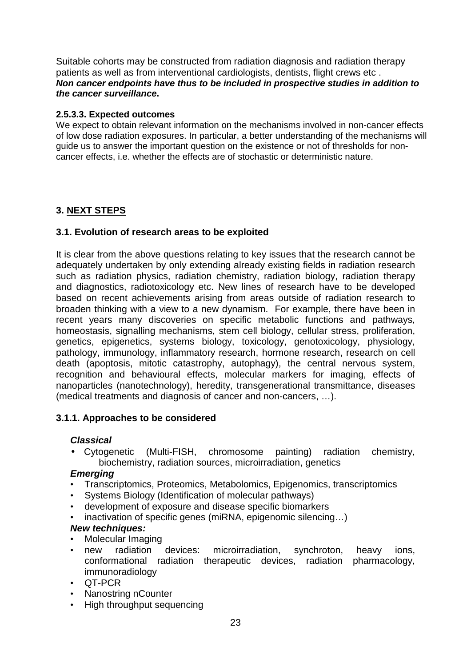Suitable cohorts may be constructed from radiation diagnosis and radiation therapy patients as well as from interventional cardiologists, dentists, flight crews etc . **Non cancer endpoints have thus to be included in prospective studies in addition to the cancer surveillance.** 

#### **2.5.3.3. Expected outcomes**

We expect to obtain relevant information on the mechanisms involved in non-cancer effects of low dose radiation exposures. In particular, a better understanding of the mechanisms will guide us to answer the important question on the existence or not of thresholds for noncancer effects, i.e. whether the effects are of stochastic or deterministic nature.

# **3. NEXT STEPS**

# **3.1. Evolution of research areas to be exploited**

It is clear from the above questions relating to key issues that the research cannot be adequately undertaken by only extending already existing fields in radiation research such as radiation physics, radiation chemistry, radiation biology, radiation therapy and diagnostics, radiotoxicology etc. New lines of research have to be developed based on recent achievements arising from areas outside of radiation research to broaden thinking with a view to a new dynamism. For example, there have been in recent years many discoveries on specific metabolic functions and pathways, homeostasis, signalling mechanisms, stem cell biology, cellular stress, proliferation, genetics, epigenetics, systems biology, toxicology, genotoxicology, physiology, pathology, immunology, inflammatory research, hormone research, research on cell death (apoptosis, mitotic catastrophy, autophagy), the central nervous system, recognition and behavioural effects, molecular markers for imaging, effects of nanoparticles (nanotechnology), heredity, transgenerational transmittance, diseases (medical treatments and diagnosis of cancer and non-cancers, …).

# **3.1.1. Approaches to be considered**

# **Classical**

• Cytogenetic (Multi-FISH, chromosome painting) radiation chemistry, biochemistry, radiation sources, microirradiation, genetics

# **Emerging**

- Transcriptomics, Proteomics, Metabolomics, Epigenomics, transcriptomics
- Systems Biology (Identification of molecular pathways)
- development of exposure and disease specific biomarkers
- inactivation of specific genes (miRNA, epigenomic silencing...)

# **New techniques:**

- Molecular Imaging
- new radiation devices: microirradiation, synchroton, heavy ions, conformational radiation therapeutic devices, radiation pharmacology, immunoradiology
- QT-PCR
- Nanostring nCounter
- High throughput sequencing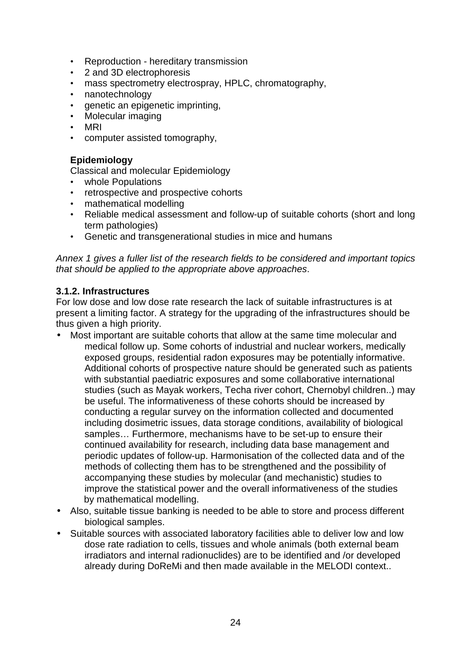- Reproduction hereditary transmission
- 2 and 3D electrophoresis
- mass spectrometry electrospray, HPLC, chromatography,<br>• nanotechnology
- nanotechnology
- genetic an epigenetic imprinting,
- Molecular imaging
- MRI
- computer assisted tomography,

#### **Epidemiology**

Classical and molecular Epidemiology

- whole Populations
- retrospective and prospective cohorts
- mathematical modelling
- Reliable medical assessment and follow-up of suitable cohorts (short and long term pathologies)
- Genetic and transgenerational studies in mice and humans

Annex 1 gives a fuller list of the research fields to be considered and important topics that should be applied to the appropriate above approaches.

#### **3.1.2. Infrastructures**

For low dose and low dose rate research the lack of suitable infrastructures is at present a limiting factor. A strategy for the upgrading of the infrastructures should be thus given a high priority.

- Most important are suitable cohorts that allow at the same time molecular and medical follow up. Some cohorts of industrial and nuclear workers, medically exposed groups, residential radon exposures may be potentially informative. Additional cohorts of prospective nature should be generated such as patients with substantial paediatric exposures and some collaborative international studies (such as Mayak workers, Techa river cohort, Chernobyl children..) may be useful. The informativeness of these cohorts should be increased by conducting a regular survey on the information collected and documented including dosimetric issues, data storage conditions, availability of biological samples… Furthermore, mechanisms have to be set-up to ensure their continued availability for research, including data base management and periodic updates of follow-up. Harmonisation of the collected data and of the methods of collecting them has to be strengthened and the possibility of accompanying these studies by molecular (and mechanistic) studies to improve the statistical power and the overall informativeness of the studies by mathematical modelling.
- Also, suitable tissue banking is needed to be able to store and process different biological samples.
- Suitable sources with associated laboratory facilities able to deliver low and low dose rate radiation to cells, tissues and whole animals (both external beam irradiators and internal radionuclides) are to be identified and /or developed already during DoReMi and then made available in the MELODI context..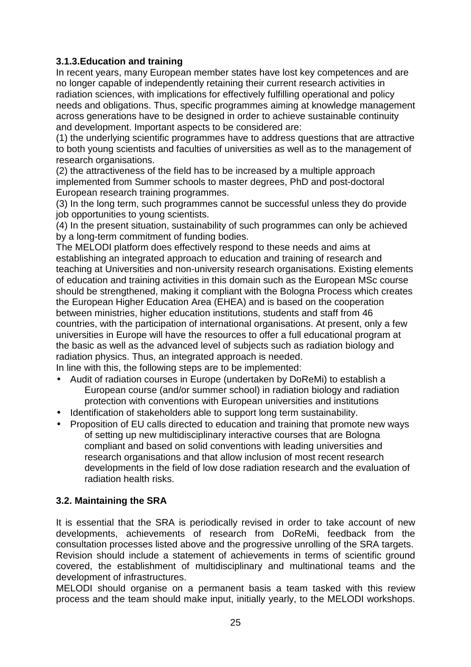# **3.1.3.Education and training**

In recent years, many European member states have lost key competences and are no longer capable of independently retaining their current research activities in radiation sciences, with implications for effectively fulfilling operational and policy needs and obligations. Thus, specific programmes aiming at knowledge management across generations have to be designed in order to achieve sustainable continuity and development. Important aspects to be considered are:

(1) the underlying scientific programmes have to address questions that are attractive to both young scientists and faculties of universities as well as to the management of research organisations.

(2) the attractiveness of the field has to be increased by a multiple approach implemented from Summer schools to master degrees, PhD and post-doctoral European research training programmes.

(3) In the long term, such programmes cannot be successful unless they do provide job opportunities to young scientists.

(4) In the present situation, sustainability of such programmes can only be achieved by a long-term commitment of funding bodies.

The MELODI platform does effectively respond to these needs and aims at establishing an integrated approach to education and training of research and teaching at Universities and non-university research organisations. Existing elements of education and training activities in this domain such as the European MSc course should be strengthened, making it compliant with the Bologna Process which creates the European Higher Education Area (EHEA) and is based on the cooperation between ministries, higher education institutions, students and staff from 46 countries, with the participation of international organisations. At present, only a few universities in Europe will have the resources to offer a full educational program at the basic as well as the advanced level of subjects such as radiation biology and radiation physics. Thus, an integrated approach is needed.

In line with this, the following steps are to be implemented:

- Audit of radiation courses in Europe (undertaken by DoReMi) to establish a European course (and/or summer school) in radiation biology and radiation protection with conventions with European universities and institutions
- Identification of stakeholders able to support long term sustainability.
- Proposition of EU calls directed to education and training that promote new ways of setting up new multidisciplinary interactive courses that are Bologna compliant and based on solid conventions with leading universities and research organisations and that allow inclusion of most recent research developments in the field of low dose radiation research and the evaluation of radiation health risks.

# **3.2. Maintaining the SRA**

It is essential that the SRA is periodically revised in order to take account of new developments, achievements of research from DoReMi, feedback from the consultation processes listed above and the progressive unrolling of the SRA targets. Revision should include a statement of achievements in terms of scientific ground covered, the establishment of multidisciplinary and multinational teams and the development of infrastructures.

MELODI should organise on a permanent basis a team tasked with this review process and the team should make input, initially yearly, to the MELODI workshops.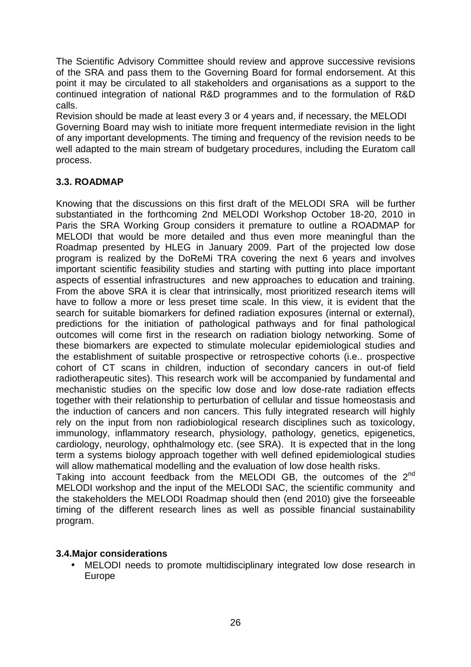The Scientific Advisory Committee should review and approve successive revisions of the SRA and pass them to the Governing Board for formal endorsement. At this point it may be circulated to all stakeholders and organisations as a support to the continued integration of national R&D programmes and to the formulation of R&D calls.

Revision should be made at least every 3 or 4 years and, if necessary, the MELODI Governing Board may wish to initiate more frequent intermediate revision in the light of any important developments. The timing and frequency of the revision needs to be well adapted to the main stream of budgetary procedures, including the Euratom call process.

# **3.3. ROADMAP**

Knowing that the discussions on this first draft of the MELODI SRA will be further substantiated in the forthcoming 2nd MELODI Workshop October 18-20, 2010 in Paris the SRA Working Group considers it premature to outline a ROADMAP for MELODI that would be more detailed and thus even more meaningful than the Roadmap presented by HLEG in January 2009. Part of the projected low dose program is realized by the DoReMi TRA covering the next 6 years and involves important scientific feasibility studies and starting with putting into place important aspects of essential infrastructures and new approaches to education and training. From the above SRA it is clear that intrinsically, most prioritized research items will have to follow a more or less preset time scale. In this view, it is evident that the search for suitable biomarkers for defined radiation exposures (internal or external), predictions for the initiation of pathological pathways and for final pathological outcomes will come first in the research on radiation biology networking. Some of these biomarkers are expected to stimulate molecular epidemiological studies and the establishment of suitable prospective or retrospective cohorts (i.e.. prospective cohort of CT scans in children, induction of secondary cancers in out-of field radiotherapeutic sites). This research work will be accompanied by fundamental and mechanistic studies on the specific low dose and low dose-rate radiation effects together with their relationship to perturbation of cellular and tissue homeostasis and the induction of cancers and non cancers. This fully integrated research will highly rely on the input from non radiobiological research disciplines such as toxicology, immunology, inflammatory research, physiology, pathology, genetics, epigenetics, cardiology, neurology, ophthalmology etc. (see SRA). It is expected that in the long term a systems biology approach together with well defined epidemiological studies will allow mathematical modelling and the evaluation of low dose health risks.

Taking into account feedback from the MELODI GB, the outcomes of the  $2^{nd}$ MELODI workshop and the input of the MELODI SAC, the scientific community and the stakeholders the MELODI Roadmap should then (end 2010) give the forseeable timing of the different research lines as well as possible financial sustainability program.

# **3.4.Major considerations**

• MELODI needs to promote multidisciplinary integrated low dose research in Europe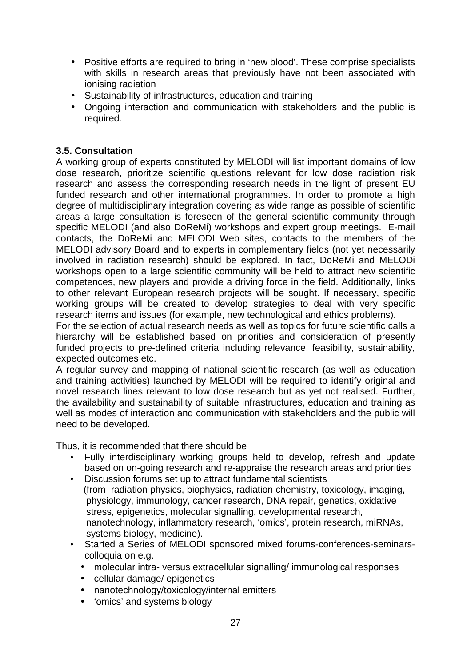- Positive efforts are required to bring in 'new blood'. These comprise specialists with skills in research areas that previously have not been associated with ionising radiation
- Sustainability of infrastructures, education and training
- Ongoing interaction and communication with stakeholders and the public is required.

# **3.5. Consultation**

A working group of experts constituted by MELODI will list important domains of low dose research, prioritize scientific questions relevant for low dose radiation risk research and assess the corresponding research needs in the light of present EU funded research and other international programmes. In order to promote a high degree of multidisciplinary integration covering as wide range as possible of scientific areas a large consultation is foreseen of the general scientific community through specific MELODI (and also DoReMi) workshops and expert group meetings. E-mail contacts, the DoReMi and MELODI Web sites, contacts to the members of the MELODI advisory Board and to experts in complementary fields (not yet necessarily involved in radiation research) should be explored. In fact, DoReMi and MELODi workshops open to a large scientific community will be held to attract new scientific competences, new players and provide a driving force in the field. Additionally, links to other relevant European research projects will be sought. If necessary, specific working groups will be created to develop strategies to deal with very specific research items and issues (for example, new technological and ethics problems).

For the selection of actual research needs as well as topics for future scientific calls a hierarchy will be established based on priorities and consideration of presently funded projects to pre-defined criteria including relevance, feasibility, sustainability, expected outcomes etc.

A regular survey and mapping of national scientific research (as well as education and training activities) launched by MELODI will be required to identify original and novel research lines relevant to low dose research but as yet not realised. Further, the availability and sustainability of suitable infrastructures, education and training as well as modes of interaction and communication with stakeholders and the public will need to be developed.

Thus, it is recommended that there should be

- Fully interdisciplinary working groups held to develop, refresh and update based on on-going research and re-appraise the research areas and priorities
- Discussion forums set up to attract fundamental scientists (from radiation physics, biophysics, radiation chemistry, toxicology, imaging, physiology, immunology, cancer research, DNA repair, genetics, oxidative stress, epigenetics, molecular signalling, developmental research, nanotechnology, inflammatory research, 'omics', protein research, miRNAs, systems biology, medicine).
- Started a Series of MELODI sponsored mixed forums-conferences-seminarscolloquia on e.g.
	- molecular intra- versus extracellular signalling/ immunological responses
	- cellular damage/ epigenetics
	- nanotechnology/toxicology/internal emitters
	- 'omics' and systems biology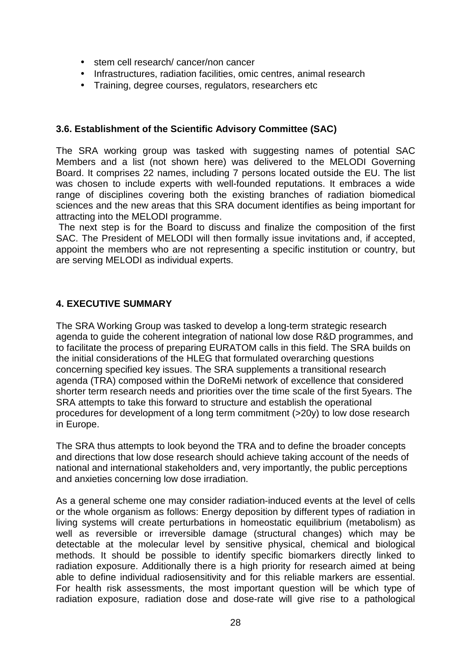- stem cell research/ cancer/non cancer
- Infrastructures, radiation facilities, omic centres, animal research
- Training, degree courses, regulators, researchers etc

### **3.6. Establishment of the Scientific Advisory Committee (SAC)**

The SRA working group was tasked with suggesting names of potential SAC Members and a list (not shown here) was delivered to the MELODI Governing Board. It comprises 22 names, including 7 persons located outside the EU. The list was chosen to include experts with well-founded reputations. It embraces a wide range of disciplines covering both the existing branches of radiation biomedical sciences and the new areas that this SRA document identifies as being important for attracting into the MELODI programme.

 The next step is for the Board to discuss and finalize the composition of the first SAC. The President of MELODI will then formally issue invitations and, if accepted, appoint the members who are not representing a specific institution or country, but are serving MELODI as individual experts.

# **4. EXECUTIVE SUMMARY**

The SRA Working Group was tasked to develop a long-term strategic research agenda to guide the coherent integration of national low dose R&D programmes, and to facilitate the process of preparing EURATOM calls in this field. The SRA builds on the initial considerations of the HLEG that formulated overarching questions concerning specified key issues. The SRA supplements a transitional research agenda (TRA) composed within the DoReMi network of excellence that considered shorter term research needs and priorities over the time scale of the first 5years. The SRA attempts to take this forward to structure and establish the operational procedures for development of a long term commitment (>20y) to low dose research in Europe.

The SRA thus attempts to look beyond the TRA and to define the broader concepts and directions that low dose research should achieve taking account of the needs of national and international stakeholders and, very importantly, the public perceptions and anxieties concerning low dose irradiation.

As a general scheme one may consider radiation-induced events at the level of cells or the whole organism as follows: Energy deposition by different types of radiation in living systems will create perturbations in homeostatic equilibrium (metabolism) as well as reversible or irreversible damage (structural changes) which may be detectable at the molecular level by sensitive physical, chemical and biological methods. It should be possible to identify specific biomarkers directly linked to radiation exposure. Additionally there is a high priority for research aimed at being able to define individual radiosensitivity and for this reliable markers are essential. For health risk assessments, the most important question will be which type of radiation exposure, radiation dose and dose-rate will give rise to a pathological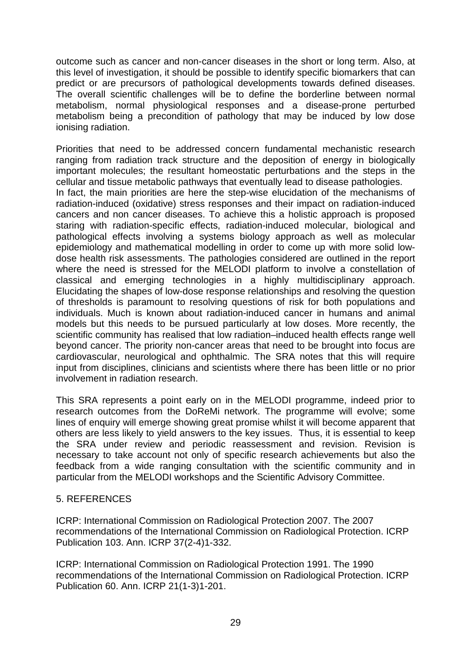outcome such as cancer and non-cancer diseases in the short or long term. Also, at this level of investigation, it should be possible to identify specific biomarkers that can predict or are precursors of pathological developments towards defined diseases. The overall scientific challenges will be to define the borderline between normal metabolism, normal physiological responses and a disease-prone perturbed metabolism being a precondition of pathology that may be induced by low dose ionising radiation.

Priorities that need to be addressed concern fundamental mechanistic research ranging from radiation track structure and the deposition of energy in biologically important molecules; the resultant homeostatic perturbations and the steps in the cellular and tissue metabolic pathways that eventually lead to disease pathologies. In fact, the main priorities are here the step-wise elucidation of the mechanisms of radiation-induced (oxidative) stress responses and their impact on radiation-induced cancers and non cancer diseases. To achieve this a holistic approach is proposed staring with radiation-specific effects, radiation-induced molecular, biological and pathological effects involving a systems biology approach as well as molecular epidemiology and mathematical modelling in order to come up with more solid lowdose health risk assessments. The pathologies considered are outlined in the report where the need is stressed for the MELODI platform to involve a constellation of classical and emerging technologies in a highly multidisciplinary approach. Elucidating the shapes of low-dose response relationships and resolving the question of thresholds is paramount to resolving questions of risk for both populations and individuals. Much is known about radiation-induced cancer in humans and animal models but this needs to be pursued particularly at low doses. More recently, the scientific community has realised that low radiation–induced health effects range well beyond cancer. The priority non-cancer areas that need to be brought into focus are cardiovascular, neurological and ophthalmic. The SRA notes that this will require input from disciplines, clinicians and scientists where there has been little or no prior involvement in radiation research.

This SRA represents a point early on in the MELODI programme, indeed prior to research outcomes from the DoReMi network. The programme will evolve; some lines of enquiry will emerge showing great promise whilst it will become apparent that others are less likely to yield answers to the key issues. Thus, it is essential to keep the SRA under review and periodic reassessment and revision. Revision is necessary to take account not only of specific research achievements but also the feedback from a wide ranging consultation with the scientific community and in particular from the MELODI workshops and the Scientific Advisory Committee.

#### 5. REFERENCES

ICRP: International Commission on Radiological Protection 2007. The 2007 recommendations of the International Commission on Radiological Protection. ICRP Publication 103. Ann. ICRP 37(2-4)1-332.

ICRP: International Commission on Radiological Protection 1991. The 1990 recommendations of the International Commission on Radiological Protection. ICRP Publication 60. Ann. ICRP 21(1-3)1-201.